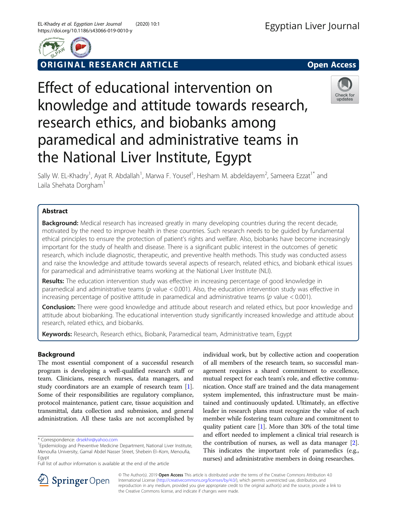

ORIGINAL RESEARCH ARTICLE **External of the Second Access** 

# Effect of educational intervention on knowledge and attitude towards research, research ethics, and biobanks among paramedical and administrative teams in the National Liver Institute, Egypt



Sally W. EL-Khadry<sup>1</sup>, Ayat R. Abdallah<sup>1</sup>, Marwa F. Yousef<sup>1</sup>, Hesham M. abdeldayem<sup>2</sup>, Sameera Ezzat<sup>1\*</sup> and Laila Shehata Dorgham<sup>1</sup>

# Abstract

**Background:** Medical research has increased greatly in many developing countries during the recent decade, motivated by the need to improve health in these countries. Such research needs to be guided by fundamental ethical principles to ensure the protection of patient's rights and welfare. Also, biobanks have become increasingly important for the study of health and disease. There is a significant public interest in the outcomes of genetic research, which include diagnostic, therapeutic, and preventive health methods. This study was conducted assess and raise the knowledge and attitude towards several aspects of research, related ethics, and biobank ethical issues for paramedical and administrative teams working at the National Liver Institute (NLI).

Results: The education intervention study was effective in increasing percentage of good knowledge in paramedical and administrative teams (p value < 0.001). Also, the education intervention study was effective in increasing percentage of positive attitude in paramedical and administrative teams (p value < 0.001).

**Conclusion:** There were good knowledge and attitude about research and related ethics, but poor knowledge and attitude about biobanking. The educational intervention study significantly increased knowledge and attitude about research, related ethics, and biobanks.

Keywords: Research, Research ethics, Biobank, Paramedical team, Administrative team, Egypt

## Background

The most essential component of a successful research program is developing a well-qualified research staff or team. Clinicians, research nurses, data managers, and study coordinators are an example of research team [[1](#page-7-0)]. Some of their responsibilities are regulatory compliance, protocol maintenance, patient care, tissue acquisition and transmittal, data collection and submission, and general administration. All these tasks are not accomplished by

individual work, but by collective action and cooperation of all members of the research team, so successful management requires a shared commitment to excellence, mutual respect for each team's role, and effective communication. Once staff are trained and the data management system implemented, this infrastructure must be maintained and continuously updated. Ultimately, an effective leader in research plans must recognize the value of each member while fostering team culture and commitment to quality patient care [\[1\]](#page-7-0). More than 30% of the total time and effort needed to implement a clinical trial research is the contribution of nurses, as well as data manager [[2](#page-7-0)]. This indicates the important role of paramedics (e.g., nurses) and administrative members in doing researches.



© The Author(s). 2019 Open Access This article is distributed under the terms of the Creative Commons Attribution 4.0 International License ([http://creativecommons.org/licenses/by/4.0/\)](http://creativecommons.org/licenses/by/4.0/), which permits unrestricted use, distribution, and reproduction in any medium, provided you give appropriate credit to the original author(s) and the source, provide a link to the Creative Commons license, and indicate if changes were made.

<sup>\*</sup> Correspondence: [drsekhir@yahoo.com](mailto:drsekhir@yahoo.com) <sup>1</sup>

<sup>&</sup>lt;sup>1</sup> Epidemiology and Preventive Medicine Department, National Liver Institute, Menoufia University, Gamal Abdel Nasser Street, Shebein El–Kom, Menoufia, Egypt

Full list of author information is available at the end of the article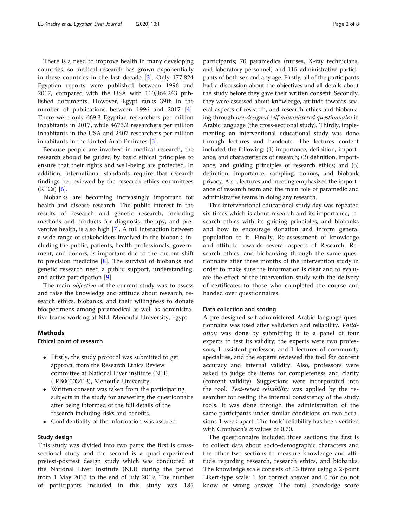There is a need to improve health in many developing countries, so medical research has grown exponentially in these countries in the last decade [[3\]](#page-7-0). Only 177,824 Egyptian reports were published between 1996 and 2017, compared with the USA with 110,364,243 published documents. However, Egypt ranks 39th in the number of publications between 1996 and 2017 [\[4](#page-7-0)]. There were only 669.3 Egyptian researchers per million inhabitants in 2017, while 4673.2 researchers per million inhabitants in the USA and 2407 researchers per million inhabitants in the United Arab Emirates [\[5](#page-7-0)].

Because people are involved in medical research, the research should be guided by basic ethical principles to ensure that their rights and well-being are protected. In addition, international standards require that research findings be reviewed by the research ethics committees  $(REG)$  [\[6](#page-7-0)].

Biobanks are becoming increasingly important for health and disease research. The public interest in the results of research and genetic research, including methods and products for diagnosis, therapy, and preventive health, is also high [[7](#page-7-0)]. A full interaction between a wide range of stakeholders involved in the biobank, including the public, patients, health professionals, government, and donors, is important due to the current shift to precision medicine [\[8\]](#page-7-0). The survival of biobanks and genetic research need a public support, understanding, and active participation [[9\]](#page-7-0).

The main *objective* of the current study was to assess and raise the knowledge and attitude about research, research ethics, biobanks, and their willingness to donate biospecimens among paramedical as well as administrative teams working at NLI, Menoufia University, Egypt.

## Methods

## Ethical point of research

- Firstly, the study protocol was submitted to get approval from the Research Ethics Review committee at National Liver institute (NLI) (IRB00003413), Menoufia University.
- Written consent was taken from the participating subjects in the study for answering the questionnaire after being informed of the full details of the research including risks and benefits.
- Confidentiality of the information was assured.

## Study design

This study was divided into two parts: the first is crosssectional study and the second is a quasi-experiment pretest-posttest design study which was conducted at the National Liver Institute (NLI) during the period from 1 May 2017 to the end of July 2019. The number of participants included in this study was 185

participants; 70 paramedics (nurses, X-ray technicians, and laboratory personnel) and 115 administrative participants of both sex and any age. Firstly, all of the participants had a discussion about the objectives and all details about the study before they gave their written consent. Secondly, they were assessed about knowledge, attitude towards several aspects of research, and research ethics and biobanking through pre-designed self-administered questionnaire in Arabic language (the cross-sectional study). Thirdly, implementing an interventional educational study was done through lectures and handouts. The lectures content included the following: (1) importance, definition, importance, and characteristics of research; (2) definition, importance, and guiding principles of research ethics; and (3) definition, importance, sampling, donors, and biobank privacy. Also, lectures and meeting emphasized the importance of research team and the main role of paramedic and administrative teams in doing any research.

This interventional educational study day was repeated six times which is about research and its importance, research ethics with its guiding principles, and biobanks and how to encourage donation and inform general population to it. Finally, Re-assessment of knowledge and attitude towards several aspects of Research, Research ethics, and biobanking through the same questionnaire after three months of the intervention study in order to make sure the information is clear and to evaluate the effect of the intervention study with the delivery of certificates to those who completed the course and handed over questionnaires.

## Data collection and scoring

A pre-designed self-administered Arabic language questionnaire was used after validation and reliability. Validation was done by submitting it to a panel of four experts to test its validity; the experts were two professors, 1 assistant professor, and 1 lecturer of community specialties, and the experts reviewed the tool for content accuracy and internal validity. Also, professors were asked to judge the items for completeness and clarity (content validity). Suggestions were incorporated into the tool. Test-retest reliability was applied by the researcher for testing the internal consistency of the study tools. It was done through the administration of the same participants under similar conditions on two occasions 1 week apart. The tools' reliability has been verified with Cronbach's  $\alpha$  values of 0.70.

The questionnaire included three sections: the first is to collect data about socio-demographic characters and the other two sections to measure knowledge and attitude regarding research, research ethics, and biobanks. The knowledge scale consists of 13 items using a 2-point Likert-type scale: 1 for correct answer and 0 for do not know or wrong answer. The total knowledge score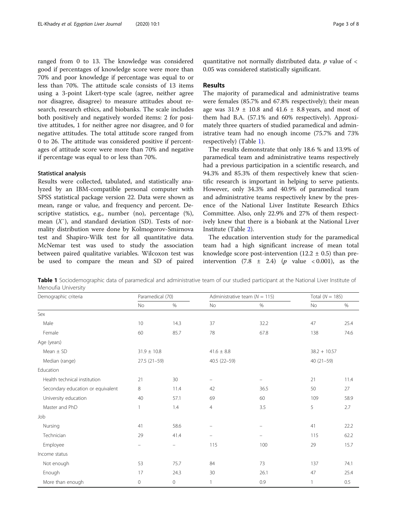ranged from 0 to 13. The knowledge was considered good if percentages of knowledge score were more than 70% and poor knowledge if percentage was equal to or less than 70%. The attitude scale consists of 13 items using a 3-point Likert-type scale (agree, neither agree nor disagree, disagree) to measure attitudes about research, research ethics, and biobanks. The scale includes both positively and negatively worded items: 2 for positive attitudes, 1 for neither agree nor disagree, and 0 for negative attitudes. The total attitude score ranged from 0 to 26. The attitude was considered positive if percentages of attitude score were more than 70% and negative if percentage was equal to or less than 70%.

#### Statistical analysis

Results were collected, tabulated, and statistically analyzed by an IBM-compatible personal computer with SPSS statistical package version 22. Data were shown as mean, range or value, and frequency and percent. Descriptive statistics, e.g., number (no), percentage (%), mean  $(X<sup>+</sup>)$ , and standard deviation (SD). Tests of normality distribution were done by Kolmogorov-Smirnova test and Shapiro-Wilk test for all quantitative data. McNemar test was used to study the association between paired qualitative variables. Wilcoxon test was be used to compare the mean and SD of paired

quantitative not normally distributed data.  $p$  value of  $\lt$ 0.05 was considered statistically significant.

### Results

The majority of paramedical and administrative teams were females (85.7% and 67.8% respectively); their mean age was  $31.9 \pm 10.8$  and  $41.6 \pm 8.8$  years, and most of them had B.A. (57.1% and 60% respectively). Approximately three quarters of studied paramedical and administrative team had no enough income (75.7% and 73% respectively) (Table 1).

The results demonstrate that only 18.6 % and 13.9% of paramedical team and administrative teams respectively had a previous participation in a scientific research, and 94.3% and 85.3% of them respectively knew that scientific research is important in helping to serve patients. However, only 34.3% and 40.9% of paramedical team and administrative teams respectively knew by the presence of the National Liver Institute Research Ethics Committee. Also, only 22.9% and 27% of them respectively knew that there is a biobank at the National Liver Institute (Table [2\)](#page-3-0).

The education intervention study for the paramedical team had a high significant increase of mean total knowledge score post-intervention  $(12.2 \pm 0.5)$  than preintervention  $(7.8 \pm 2.4)$   $(p \text{ value } < 0.001)$ , as the

Table 1 Sociodemographic data of paramedical and administrative team of our studied participant at the National Liver Institute of Menoufia University

| Demographic criteria              | Paramedical (70)              |         |                          | Administrative team ( $N = 115$ ) | Total ( $N = 185$ ) |               |  |  |  |
|-----------------------------------|-------------------------------|---------|--------------------------|-----------------------------------|---------------------|---------------|--|--|--|
|                                   | No                            | $\%$    | No                       | $\%$                              | No                  | $\%$          |  |  |  |
| Sex                               |                               |         |                          |                                   |                     |               |  |  |  |
| Male                              | 10                            | 14.3    | 37                       | 32.2                              | 47                  | 25.4          |  |  |  |
| Female                            | 60                            | 85.7    | 78                       | 67.8                              | 138                 | 74.6          |  |  |  |
| Age (years)                       |                               |         |                          |                                   |                     |               |  |  |  |
| Mean $\pm$ SD                     | $31.9 \pm 10.8$               |         | $41.6 \pm 8.8$           |                                   | $38.2 + 10.57$      |               |  |  |  |
| Median (range)                    | $27.5(21-59)$<br>40.5 (22-59) |         |                          |                                   |                     | $40(21 - 59)$ |  |  |  |
| Education                         |                               |         |                          |                                   |                     |               |  |  |  |
| Health technical institution      | 21                            | 30      | $\overline{\phantom{m}}$ | $\qquad \qquad -$                 | 21                  | 11.4          |  |  |  |
| Secondary education or equivalent | 8                             | 11.4    | 42                       | 36.5                              | 50                  | 27            |  |  |  |
| University education              | 40                            | 57.1    | 69                       | 60                                | 109                 | 58.9          |  |  |  |
| Master and PhD                    | 1                             | 1.4     | $\overline{4}$           | 3.5                               | 5                   | 2.7           |  |  |  |
| Job                               |                               |         |                          |                                   |                     |               |  |  |  |
| Nursing                           | 41                            | 58.6    | $\equiv$                 | $\overline{\phantom{m}}$          | 41                  | 22.2          |  |  |  |
| Technician                        | 29                            | 41.4    | $\equiv$                 | $\overline{\phantom{0}}$          | 115                 | 62.2          |  |  |  |
| Employee                          |                               |         | 115                      | 100                               | 29                  | 15.7          |  |  |  |
| Income status                     |                               |         |                          |                                   |                     |               |  |  |  |
| Not enough                        | 53                            | 75.7    | 84                       | 73                                | 137                 | 74.1          |  |  |  |
| Enough                            | 17                            | 24.3    | 30                       | 26.1                              | 47                  | 25.4          |  |  |  |
| More than enough                  | 0                             | $\circ$ | $\mathbf{1}$             | 0.9                               | 1                   | 0.5           |  |  |  |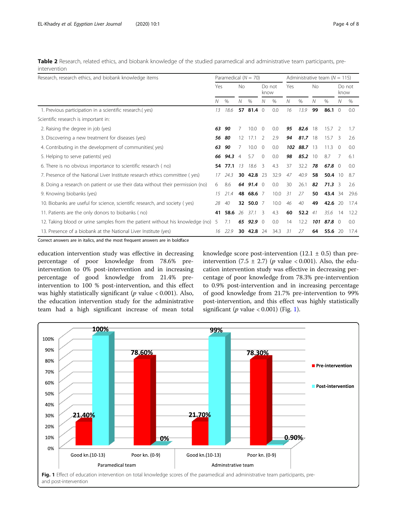<span id="page-3-0"></span>Table 2 Research, related ethics, and biobank knowledge of the studied paramedical and administrative team participants, preintervention

| Research, research ethics, and biobank knowledge items                         |    | Paramedical $(N = 70)$ |                |                   |               |                | Administrative team ( $N = 115$ ) |             |     |                 |          |                |  |
|--------------------------------------------------------------------------------|----|------------------------|----------------|-------------------|---------------|----------------|-----------------------------------|-------------|-----|-----------------|----------|----------------|--|
|                                                                                |    | Yes                    |                | <b>No</b>         |               | Do not<br>know |                                   | Yes         |     | <b>No</b>       |          | Do not<br>know |  |
|                                                                                | Ν  | $\%$                   | Ν              | $\%$              | Ν             | $\%$           | N                                 | $\%$        | Ν   | $\%$            | Ν        | $\%$           |  |
| 1. Previous participation in a scientific research.(yes)                       | 13 | 18.6                   |                | 57 81.4 0         |               | 0.0            | 16                                | 13.9        | 99  | 86.1            | $\Omega$ | 0.0            |  |
| Scientific research is important in:                                           |    |                        |                |                   |               |                |                                   |             |     |                 |          |                |  |
| 2. Raising the degree in job (yes)                                             | 63 | 90                     | 7              | 10.0              | $\Omega$      | 0.0            | 95                                | 82.6        | 18  | 15.7            | 2        | 1.7            |  |
| 3. Discovering a new treatment for diseases (yes)                              | 56 | -80                    | 12             | 17.1              | $\mathcal{L}$ | 2.9            | 94                                | $81.7$ 18   |     | 15.7            | -3       | 2.6            |  |
| 4. Contributing in the development of communities(yes)                         | 63 | 90                     | 7              | 10.0              | $\Omega$      | 0.0            |                                   | 102 88.7 13 |     | 11.3            | $\Omega$ | 0.0            |  |
| 5. Helping to serve patients (yes)                                             |    | 66 94.3                | $\overline{4}$ | 5.7               | $\Omega$      | 0.0            | 98                                | $85.2 \t10$ |     | 8.7             |          | 6.1            |  |
| 6. There is no obvious importance to scientific research (no)                  |    | 54 77.1                | 13             | 18.6              | -3            | 4.3            | 37                                | 32.2        | 78  | 67.8 $0$        |          | 0.0            |  |
| 7. Presence of the National Liver Institute research ethics committee (yes)    |    | 24.3                   | 30             | 42.8 23           |               | 32.9           | 47                                | 40.9        | 58  | $50.4 \quad 10$ |          | 8.7            |  |
| 8. Doing a research on patient or use their data without their permission (no) | 6  | 8.6                    |                | 64 91.4 $\degree$ |               | 0.0            | 30                                | 26.1        | 82  | 71.3            | 3        | 2.6            |  |
| 9. Knowing biobanks (yes)                                                      | 15 | 21.4                   |                | 48 68.6 7         |               | 10.0           | 31                                | 27          | 50  | 43.4            | 34       | 29.6           |  |
| 10. Biobanks are useful for science, scientific research, and society (yes)    | 28 | 40                     |                | 32 50.0 7         |               | 10.0           | 46                                | 40          | 49  | 42.6            | -20      | 17.4           |  |
| 11. Patients are the only donors to biobanks (no)                              |    | 58.6                   | 26             | 37.1              | 3             | 4.3            | 60                                | 52.2 $41$   |     | 35.6            | 14       | 12.2           |  |
| 12. Taking blood or urine samples from the patient without his knowledge (no)  | 5  | 7.1                    |                | 65 92.9 $0$       |               | 0.0            | 14                                | 12.2        | 101 | 87.8 $\circ$    |          | 0.0            |  |
| 13. Presence of a biobank at the National Liver Institute (yes)                |    | 22.9                   | 30             | 42.8              | 24            | 34.3           | 31                                | 27          | 64  | 55.6            | - 20     | 17.4           |  |

Correct answers are in italics, and the most frequent answers are in boldface

education intervention study was effective in decreasing percentage of poor knowledge from 78.6% preintervention to 0% post-intervention and in increasing percentage of good knowledge from 21.4% preintervention to 100 % post-intervention, and this effect was highly statistically significant ( $p$  value < 0.001). Also, the education intervention study for the administrative team had a high significant increase of mean total

knowledge score post-intervention  $(12.1 \pm 0.5)$  than preintervention (7.5  $\pm$  2.7) (p value < 0.001). Also, the education intervention study was effective in decreasing percentage of poor knowledge from 78.3% pre-intervention to 0.9% post-intervention and in increasing percentage of good knowledge from 21.7% pre-intervention to 99% post-intervention, and this effect was highly statistically significant ( $p$  value < 0.001) (Fig. 1).

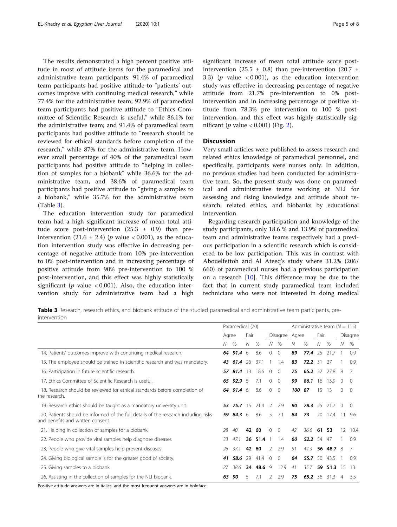The results demonstrated a high percent positive attitude in most of attitude items for the paramedical and administrative team participants: 91.4% of paramedical team participants had positive attitude to "patients' outcomes improve with continuing medical research," while 77.4% for the administrative team; 92.9% of paramedical team participants had positive attitude to "Ethics Committee of Scientific Research is useful," while 86.1% for the administrative team; and 91.4% of paramedical team participants had positive attitude to "research should be reviewed for ethical standards before completion of the research," while 87% for the administrative team. However small percentage of 40% of the paramedical team participants had positive attitude to "helping in collection of samples for a biobank" while 36.6% for the administrative team, and 38.6% of paramedical team participants had positive attitude to "giving a samples to a biobank," while 35.7% for the administrative team (Table 3).

The education intervention study for paramedical team had a high significant increase of mean total attitude score post-intervention  $(25.3 \pm 0.9)$  than preintervention (21.6  $\pm$  2.4) (p value < 0.001), as the education intervention study was effective in decreasing percentage of negative attitude from 10% pre-intervention to 0% post-intervention and in increasing percentage of positive attitude from 90% pre-intervention to 100 % post-intervention, and this effect was highly statistically significant ( $p$  value < 0.001). Also, the education intervention study for administrative team had a high significant increase of mean total attitude score postintervention (25.5  $\pm$  0.8) than pre-intervention (20.7  $\pm$ 3.3) ( $p$  value < 0.001), as the education intervention study was effective in decreasing percentage of negative attitude from 21.7% pre-intervention to 0% postintervention and in increasing percentage of positive attitude from 78.3% pre intervention to 100 % postintervention, and this effect was highly statistically significant ( $p$  value < 0.001) (Fig. [2](#page-5-0)).

## **Discussion**

Very small articles were published to assess research and related ethics knowledge of paramedical personnel, and specifically, participants were nurses only. In addition, no previous studies had been conducted for administrative team. So, the present study was done on paramedical and administrative teams working at NLI for assessing and rising knowledge and attitude about research, related ethics, and biobanks by educational intervention.

Regarding research participation and knowledge of the study participants, only 18.6 % and 13.9% of paramedical team and administrative teams respectively had a previous participation in a scientific research which is considered to be low participation. This was in contrast with Abouelfettoh and Al Ateeq's study where 31.2% (206/ 660) of paramedical nurses had a previous participation on a research [[10](#page-7-0)]. This difference may be due to the fact that in current study paramedical team included technicians who were not interested in doing medical

Table 3 Research, research ethics, and biobank attitude of the studied paramedical and administrative team participants, preintervention

|                                                                                                                          | Paramedical (70) |                |      |           |                |                |     | Administrative team ( $N = 115$ ) |       |              |          |                  |  |
|--------------------------------------------------------------------------------------------------------------------------|------------------|----------------|------|-----------|----------------|----------------|-----|-----------------------------------|-------|--------------|----------|------------------|--|
|                                                                                                                          | Agree            |                | Fair |           | Disagree Agree |                |     |                                   | Fair  |              | Disagree |                  |  |
|                                                                                                                          | Ν                | $\%$           | N    | $\%$      | N              | $\%$           | N   | $\%$                              | N     | $\%$         | N        | $\%$             |  |
| 14. Patients' outcomes improve with continuing medical research.                                                         |                  | 64 91.4 6      |      | 8.6       | $\Omega$       | $\Omega$       | 89  | 77.4                              | 25    | 21.7         |          | 0.9              |  |
| 15. The employee should be trained in scientific research and was mandatory.                                             | 43               | 61.4           | -26  | 37.1      |                | 1.4            | 83  | 72.2                              | -31   | 27           |          | 0.9              |  |
| 16. Participation in future scientific research.                                                                         |                  | 57 81.4 13     |      | 18.6      | $\circ$        | $\Omega$       | 75  |                                   |       | 65.2 32 27.8 | 8        |                  |  |
| 17. Ethics Committee of Scientific Research is useful.                                                                   |                  | 65 92.9 5      |      | 7.1       | $\mathbf{0}$   | 0              | 99  | 86.1                              | 16    | 13.9         | $\Omega$ | $\left( \right)$ |  |
| 18. Research should be reviewed for ethical standards before completion of<br>the research.                              |                  | 64 91.4 6      |      | 8.6       | $\circ$        | $\mathbf 0$    | 100 | 87                                | 15    | -13          | $\Omega$ | $\Omega$         |  |
| 19. Research ethics should be taught as a mandatory university unit.                                                     | 53.              | <b>75.7</b> 15 |      | 21.4      | 2              | 2.9            | 90  | 78.3                              | 25    | 21.7         | $\Omega$ | $\left( \right)$ |  |
| 20. Patients should be informed of the full details of the research including risks<br>and benefits and written consent. |                  | 59 84.3 6      |      | 8.6       |                | $5 \quad 7.1$  | 84  | 73                                | 20    | 17.4 11      |          | 9.6              |  |
| 21. Helping in collection of samples for a biobank.                                                                      | 28               | 40             | 42   | -60       | $\Omega$       | $\mathbf 0$    | 42  | 36.6                              | 61 53 |              | 12       | 10.4             |  |
| 22. People who provide vital samples help diagnose diseases                                                              | 33               | 47.1           |      | 36 51.4   |                | 1.4            | 60  | 52.2 54                           |       | 47           |          | 0.9              |  |
| 23. People who give vital samples help prevent diseases                                                                  | 26               | 371            | 42   | -60       | 2              | -2.9           | -51 | 44.3                              |       | 56 48.7 8    |          |                  |  |
| 24. Giving biological sample is for the greater good of society.                                                         | 41               | 58.6           | -29  | 41.4      | $\mathbf{0}$   | $\overline{0}$ | 64  | 55.750                            |       | 43.5         |          | 0.9              |  |
| 25. Giving samples to a biobank.                                                                                         |                  | 38.6           |      | 34 48.6 9 |                | 12.9           | 41  | 35.7                              |       | 59 51.3 15   |          | 13               |  |
| 26. Assisting in the collection of samples for the NLI biobank.                                                          | 63               | 90             |      | 7.1       | 2              | 2.9            | 75  | 65.2                              | -36   | 31.3         | 4        | 3.5              |  |

Positive attitude answers are in italics, and the most frequent answers are in boldface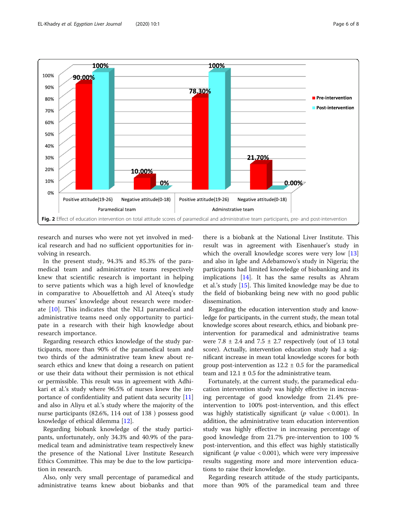<span id="page-5-0"></span>

research and nurses who were not yet involved in medical research and had no sufficient opportunities for involving in research.

In the present study, 94.3% and 85.3% of the paramedical team and administrative teams respectively knew that scientific research is important in helping to serve patients which was a high level of knowledge in comparative to Abouelfettoh and Al Ateeq's study where nurses' knowledge about research were moderate [[10\]](#page-7-0). This indicates that the NLI paramedical and administrative teams need only opportunity to participate in a research with their high knowledge about research importance.

Regarding research ethics knowledge of the study participants, more than 90% of the paramedical team and two thirds of the administrative team knew about research ethics and knew that doing a research on patient or use their data without their permission is not ethical or permissible. This result was in agreement with Adhikari et al.'s study where 96.5% of nurses knew the importance of confidentiality and patient data security [[11](#page-7-0)] and also in Aliyu et al.'s study where the majority of the nurse participants (82.6%, 114 out of 138 ) possess good knowledge of ethical dilemma [\[12](#page-7-0)].

Regarding biobank knowledge of the study participants, unfortunately, only 34.3% and 40.9% of the paramedical team and administrative team respectively knew the presence of the National Liver Institute Research Ethics Committee. This may be due to the low participation in research.

Also, only very small percentage of paramedical and administrative teams knew about biobanks and that

there is a biobank at the National Liver Institute. This result was in agreement with Eisenhauer's study in which the overall knowledge scores were very low [[13](#page-7-0)] and also in Igbe and Adebamowo's study in Nigeria; the participants had limited knowledge of biobanking and its implications [[14\]](#page-7-0). It has the same results as Ahram et al.'s study  $[15]$  $[15]$  $[15]$ . This limited knowledge may be due to the field of biobanking being new with no good public dissemination.

Regarding the education intervention study and knowledge for participants, in the current study, the mean total knowledge scores about research, ethics, and biobank preintervention for paramedical and administrative teams were  $7.8 \pm 2.4$  and  $7.5 \pm 2.7$  respectively (out of 13 total score). Actually, intervention education study had a significant increase in mean total knowledge scores for both group post-intervention as  $12.2 \pm 0.5$  for the paramedical team and  $12.1 \pm 0.5$  for the administrative team.

Fortunately, at the current study, the paramedical education intervention study was highly effective in increasing percentage of good knowledge from 21.4% preintervention to 100% post-intervention, and this effect was highly statistically significant ( $p$  value < 0.001). In addition, the administrative team education intervention study was highly effective in increasing percentage of good knowledge from 21.7% pre-intervention to 100 % post-intervention, and this effect was highly statistically significant ( $p$  value < 0.001), which were very impressive results suggesting more and more intervention educations to raise their knowledge.

Regarding research attitude of the study participants, more than 90% of the paramedical team and three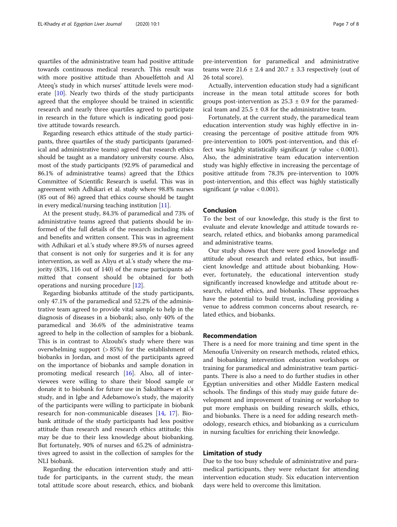quartiles of the administrative team had positive attitude towards continuous medical research. This result was with more positive attitude than Abouelfettoh and Al Ateeq's study in which nurses' attitude levels were moderate [[10\]](#page-7-0). Nearly two thirds of the study participants agreed that the employee should be trained in scientific research and nearly three quartiles agreed to participate in research in the future which is indicating good positive attitude towards research.

Regarding research ethics attitude of the study participants, three quartiles of the study participants (paramedical and administrative teams) agreed that research ethics should be taught as a mandatory university course. Also, most of the study participants (92.9% of paramedical and 86.1% of administrative teams) agreed that the Ethics Committee of Scientific Research is useful. This was in agreement with Adhikari et al. study where 98.8% nurses (85 out of 86) agreed that ethics course should be taught in every medical/nursing teaching institution [\[11](#page-7-0)].

At the present study, 84.3% of paramedical and 73% of administrative teams agreed that patients should be informed of the full details of the research including risks and benefits and written consent. This was in agreement with Adhikari et al.'s study where 89.5% of nurses agreed that consent is not only for surgeries and it is for any intervention, as well as Aliyu et al.'s study where the majority (83%, 116 out of 140) of the nurse participants admitted that consent should be obtained for both operations and nursing procedure [[12\]](#page-7-0).

Regarding biobanks attitude of the study participants, only 47.1% of the paramedical and 52.2% of the administrative team agreed to provide vital sample to help in the diagnosis of diseases in a biobank; also, only 40% of the paramedical and 36.6% of the administrative teams agreed to help in the collection of samples for a biobank. This is in contrast to Alzoubi's study where there was overwhelming support (> 85%) for the establishment of biobanks in Jordan, and most of the participants agreed on the importance of biobanks and sample donation in promoting medical research [\[16](#page-7-0)]. Also, all of interviewees were willing to share their blood sample or donate it to biobank for future use in Sakulthaew et al.'s study, and in Igbe and Adebamowo's study, the majority of the participants were willing to participate in biobank research for non-communicable diseases [[14,](#page-7-0) [17](#page-7-0)]. Biobank attitude of the study participants had less positive attitude than research and research ethics attitude; this may be due to their less knowledge about biobanking. But fortunately, 90% of nurses and 65.2% of administratives agreed to assist in the collection of samples for the NLI biobank.

Regarding the education intervention study and attitude for participants, in the current study, the mean total attitude score about research, ethics, and biobank

pre-intervention for paramedical and administrative teams were  $21.6 \pm 2.4$  and  $20.7 \pm 3.3$  respectively (out of 26 total score).

Actually, intervention education study had a significant increase in the mean total attitude scores for both groups post-intervention as  $25.3 \pm 0.9$  for the paramedical team and  $25.5 \pm 0.8$  for the administrative team.

Fortunately, at the current study, the paramedical team education intervention study was highly effective in increasing the percentage of positive attitude from 90% pre-intervention to 100% post-intervention, and this effect was highly statistically significant ( $p$  value < 0.001). Also, the administrative team education intervention study was highly effective in increasing the percentage of positive attitude from 78.3% pre-intervention to 100% post-intervention, and this effect was highly statistically significant (*p* value  $< 0.001$ ).

## Conclusion

To the best of our knowledge, this study is the first to evaluate and elevate knowledge and attitude towards research, related ethics, and biobanks among paramedical and administrative teams.

Our study shows that there were good knowledge and attitude about research and related ethics, but insufficient knowledge and attitude about biobanking. However, fortunately, the educational intervention study significantly increased knowledge and attitude about research, related ethics, and biobanks. These approaches have the potential to build trust, including providing a venue to address common concerns about research, related ethics, and biobanks.

## Recommendation

There is a need for more training and time spent in the Menoufia University on research methods, related ethics, and biobanking intervention education workshops or training for paramedical and administrative team participants. There is also a need to do further studies in other Egyptian universities and other Middle Eastern medical schools. The findings of this study may guide future development and improvement of training or workshop to put more emphasis on building research skills, ethics, and biobanks. There is a need for adding research methodology, research ethics, and biobanking as a curriculum in nursing faculties for enriching their knowledge.

## Limitation of study

Due to the too busy schedule of administrative and paramedical participants, they were reluctant for attending intervention education study. Six education intervention days were held to overcome this limitation.